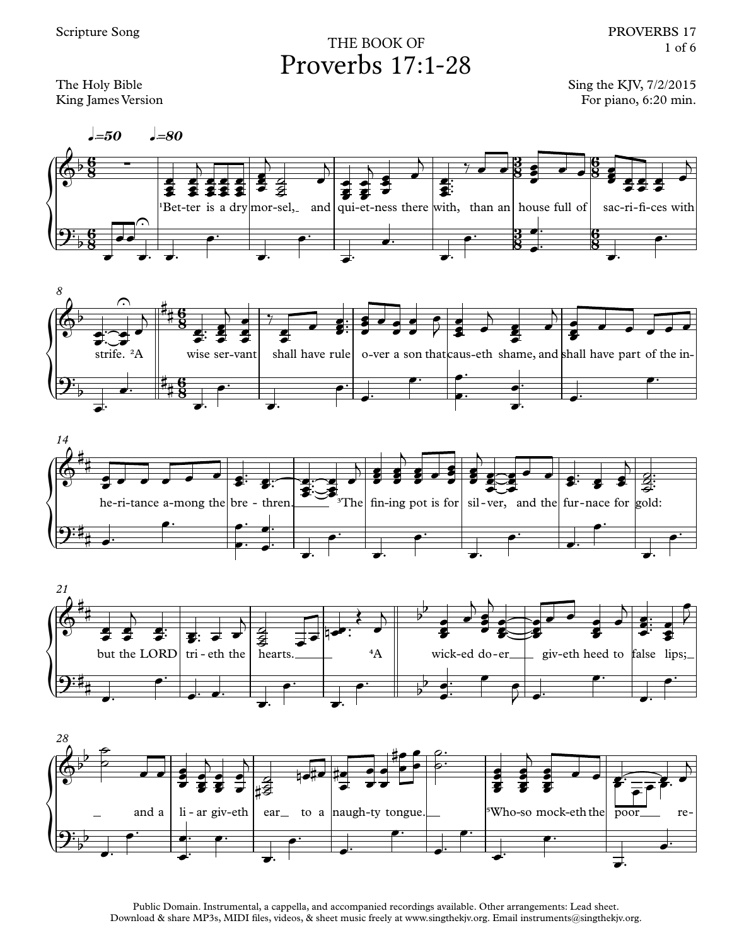## THE BOOK OF Proverbs 17:1-28

The Holy Bible King James Version Sing the KJV, 7/2/2015 For piano, 6:20 min.











Public Domain. Instrumental, a cappella, and accompanied recordings available. Other arrangements: Lead sheet. Download & share MP3s, MIDI files, videos, & sheet music freely at www.singthekjv.org. Email instruments@singthekjv.org.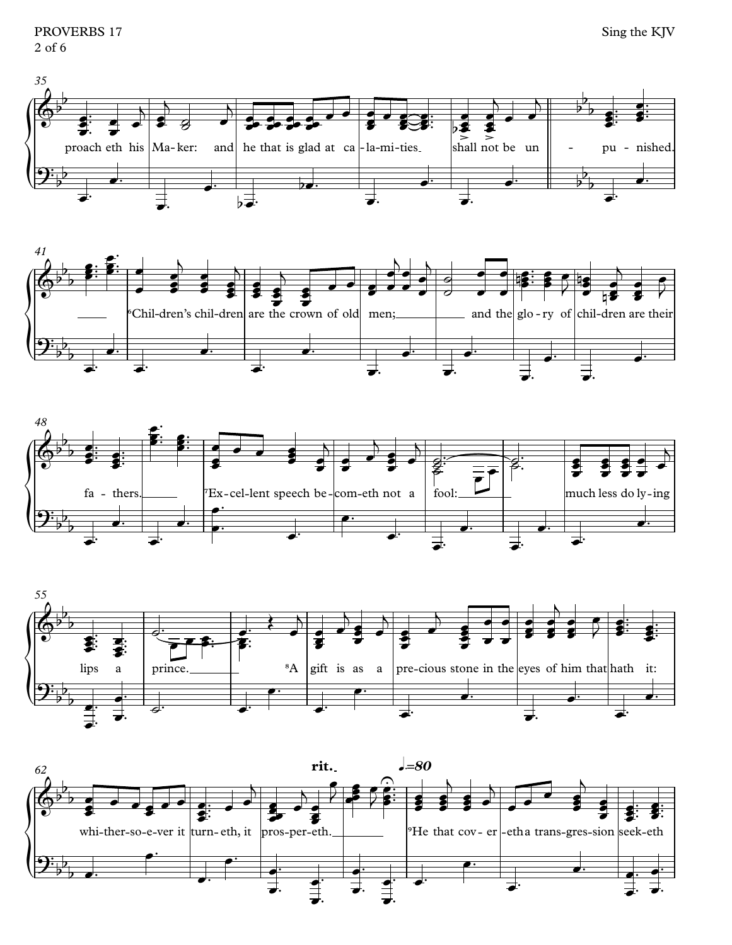PROVERBS 17  $2$  of 6









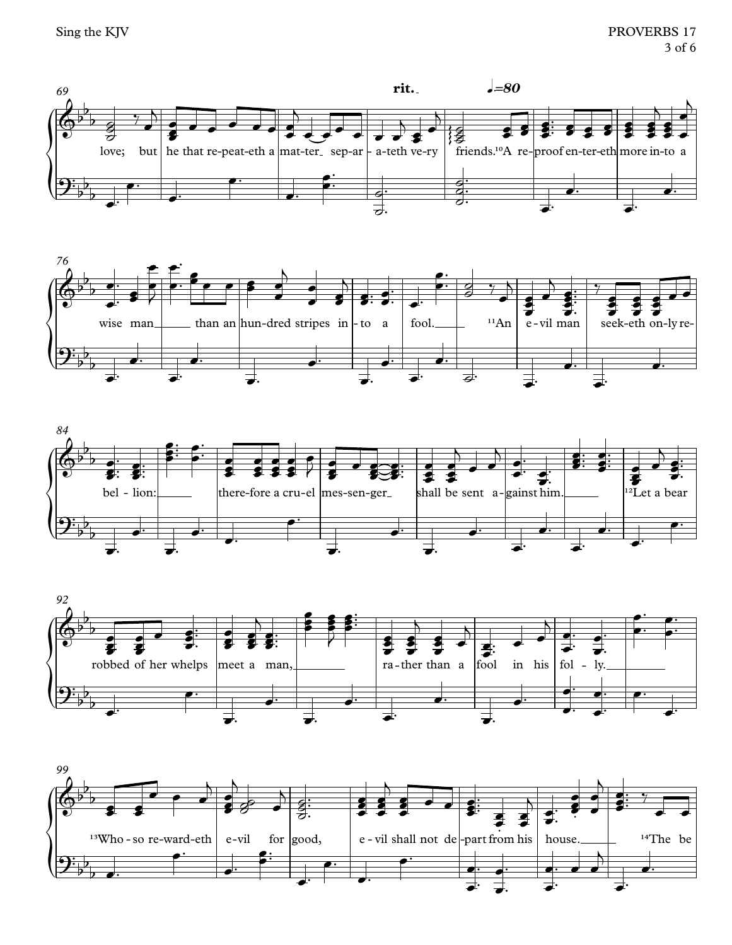







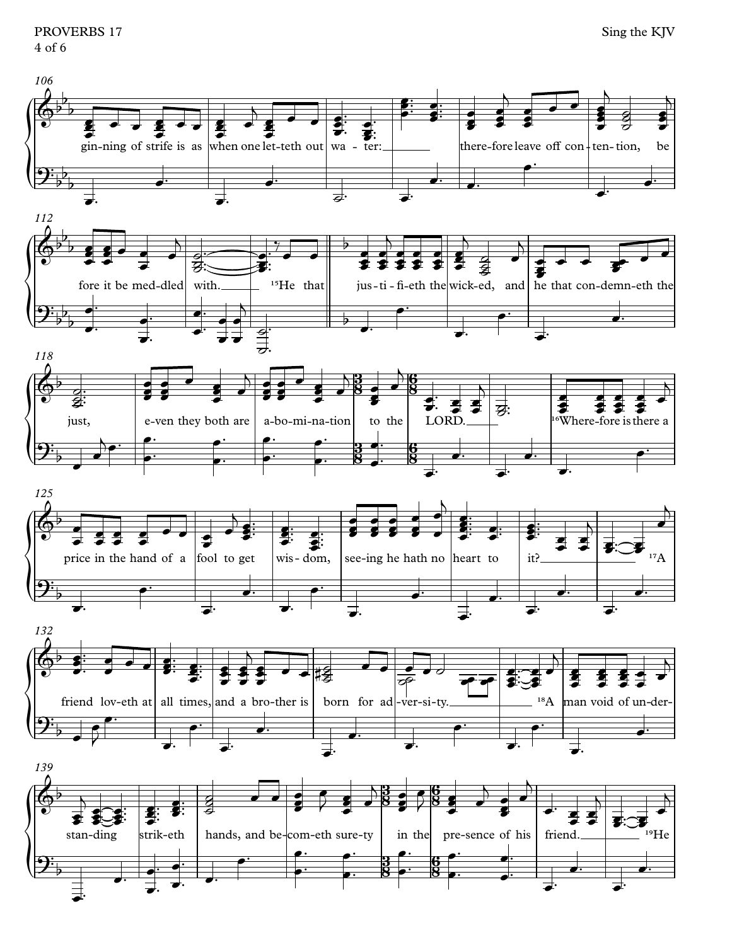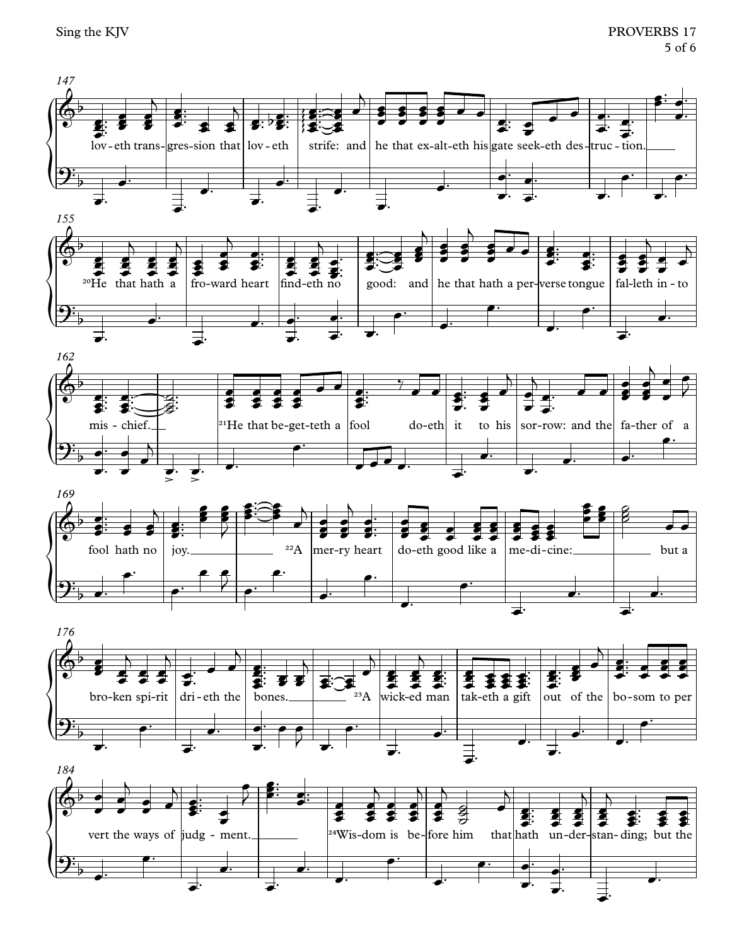